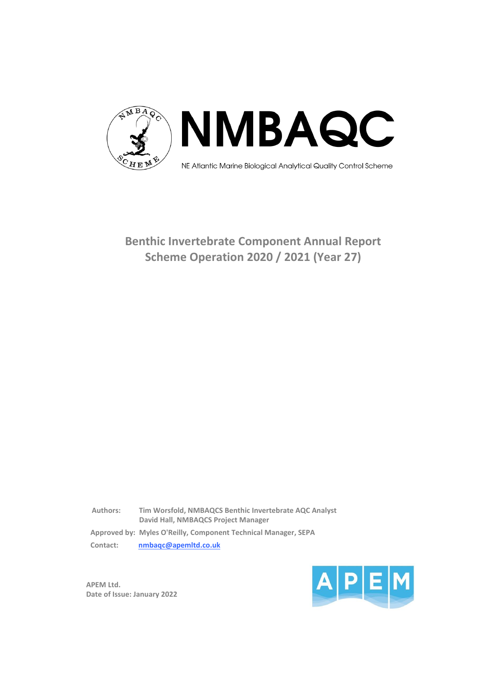

# **Benthic Invertebrate Component Annual Report Scheme Operation 2020 / 2021 (Year 27)**

**Authors: Tim Worsfold, NMBAQCS Benthic Invertebrate AQC Analyst David Hall, NMBAQCS Project Manager Approved by: Myles O'Reilly, Component Technical Manager, SEPA Contact: nmbaqc@apemltd.co.uk**

**APEM Ltd. Date of Issue: January 2022**

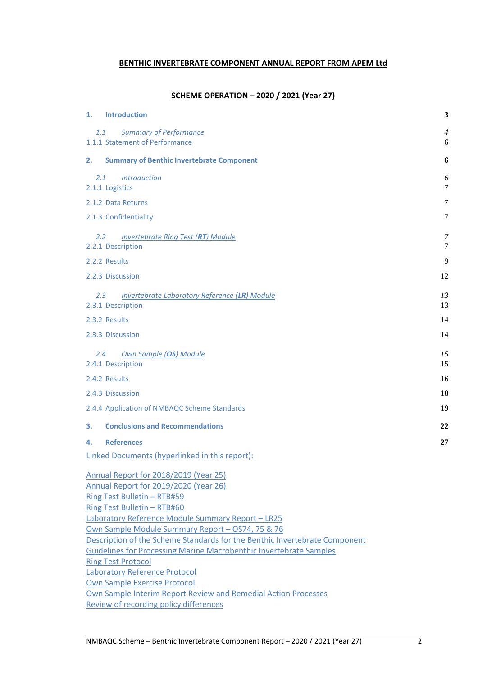## **BENTHIC INVERTEBRATE COMPONENT ANNUAL REPORT FROM APEM Ltd**

# **SCHEME OPERATION – 2020 / 2021 (Year 27)**

| 1.                        | <b>Introduction</b>                                                                                           | 3                   |  |  |
|---------------------------|---------------------------------------------------------------------------------------------------------------|---------------------|--|--|
| 1.1                       | <b>Summary of Performance</b><br>1.1.1 Statement of Performance                                               | $\overline{4}$<br>6 |  |  |
| 2.                        | <b>Summary of Benthic Invertebrate Component</b>                                                              | 6                   |  |  |
| 2.1                       | <b>Introduction</b><br>2.1.1 Logistics                                                                        | 6<br>7              |  |  |
|                           | 2.1.2 Data Returns                                                                                            | 7                   |  |  |
|                           | 2.1.3 Confidentiality                                                                                         | 7                   |  |  |
| $2.2^{\circ}$             | <b>Invertebrate Ring Test (RT) Module</b><br>2.2.1 Description                                                | 7<br>7              |  |  |
|                           | 2.2.2 Results                                                                                                 | 9                   |  |  |
|                           | 2.2.3 Discussion                                                                                              | 12                  |  |  |
| 2.3                       | <b>Invertebrate Laboratory Reference (LR) Module</b><br>2.3.1 Description                                     | 13<br>13            |  |  |
|                           | 2.3.2 Results                                                                                                 | 14                  |  |  |
|                           | 2.3.3 Discussion                                                                                              | 14                  |  |  |
| 2.4                       | <b>Own Sample (OS) Module</b><br>2.4.1 Description                                                            | 15<br>15            |  |  |
|                           | 2.4.2 Results                                                                                                 | 16                  |  |  |
|                           | 2.4.3 Discussion                                                                                              | 18                  |  |  |
|                           | 2.4.4 Application of NMBAQC Scheme Standards                                                                  | 19                  |  |  |
| 3.                        | <b>Conclusions and Recommendations</b>                                                                        | 22                  |  |  |
| 4.                        | <b>References</b>                                                                                             | 27                  |  |  |
|                           | Linked Documents (hyperlinked in this report):                                                                |                     |  |  |
|                           | Annual Report for 2018/2019 (Year 25)<br>Annual Report for 2019/2020 (Year 26)<br>Ring Test Bulletin - RTB#59 |                     |  |  |
|                           | Ring Test Bulletin - RTB#60<br><b>Laboratory Reference Module Summary Report - LR25</b>                       |                     |  |  |
|                           | Own Sample Module Summary Report - OS74, 75 & 76                                                              |                     |  |  |
|                           | Description of the Scheme Standards for the Benthic Invertebrate Component                                    |                     |  |  |
|                           | <b>Guidelines for Processing Marine Macrobenthic Invertebrate Samples</b>                                     |                     |  |  |
| <b>Ring Test Protocol</b> |                                                                                                               |                     |  |  |

[Own Sample Exercise Protocol](http://www.nmbaqcs.org/media/1715/os_protocol_aug2017_v21_final.pdf) [Own Sample Interim Report Review and Remedial Action Processes](http://www.nmbaqcs.org/scheme-components/invertebrates/reports/own-sample-remedial-processes/) [Review of recording policy differences](http://www.nmbaqcs.org/media/1706/review-of-recording-identification-policy-differences.pdf)

[Laboratory Reference Protocol](http://www.nmbaqcs.org/media/1713/lr_protocol_aug2017_v21.pdf)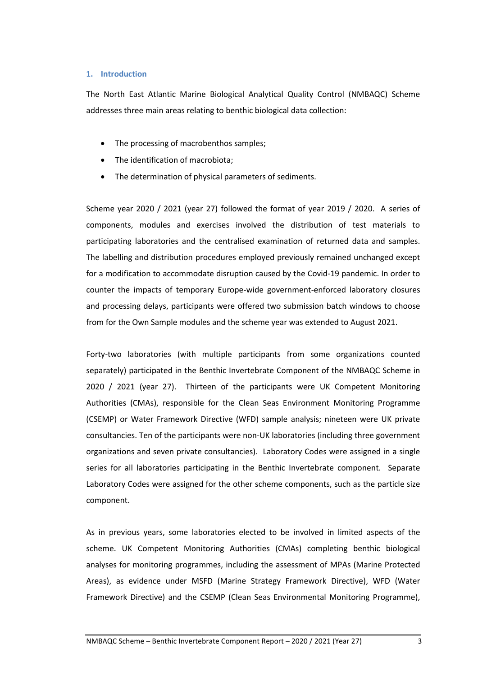### **1. Introduction**

The North East Atlantic Marine Biological Analytical Quality Control (NMBAQC) Scheme addresses three main areas relating to benthic biological data collection:

- The processing of macrobenthos samples;
- The identification of macrobiota;
- The determination of physical parameters of sediments.

Scheme year 2020 / 2021 (year 27) followed the format of year 2019 / 2020. A series of components, modules and exercises involved the distribution of test materials to participating laboratories and the centralised examination of returned data and samples. The labelling and distribution procedures employed previously remained unchanged except for a modification to accommodate disruption caused by the Covid-19 pandemic. In order to counter the impacts of temporary Europe-wide government-enforced laboratory closures and processing delays, participants were offered two submission batch windows to choose from for the Own Sample modules and the scheme year was extended to August 2021.

Forty-two laboratories (with multiple participants from some organizations counted separately) participated in the Benthic Invertebrate Component of the NMBAQC Scheme in 2020 / 2021 (year 27). Thirteen of the participants were UK Competent Monitoring Authorities (CMAs), responsible for the Clean Seas Environment Monitoring Programme (CSEMP) or Water Framework Directive (WFD) sample analysis; nineteen were UK private consultancies. Ten of the participants were non-UK laboratories (including three government organizations and seven private consultancies). Laboratory Codes were assigned in a single series for all laboratories participating in the Benthic Invertebrate component. Separate Laboratory Codes were assigned for the other scheme components, such as the particle size component.

As in previous years, some laboratories elected to be involved in limited aspects of the scheme. UK Competent Monitoring Authorities (CMAs) completing benthic biological analyses for monitoring programmes, including the assessment of MPAs (Marine Protected Areas), as evidence under MSFD (Marine Strategy Framework Directive), WFD (Water Framework Directive) and the CSEMP (Clean Seas Environmental Monitoring Programme),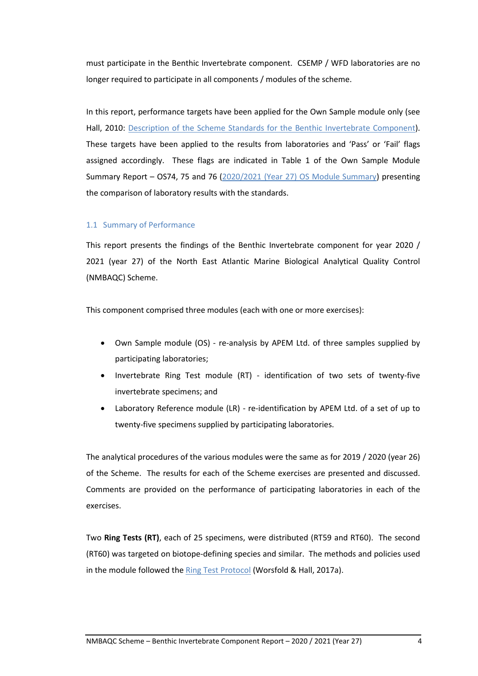must participate in the Benthic Invertebrate component. CSEMP / WFD laboratories are no longer required to participate in all components / modules of the scheme.

In this report, performance targets have been applied for the Own Sample module only (see Hall, 2010: [Description of the Scheme Standards for the Benthic Invertebrate Component\)](http://www.nmbaqcs.org/media/1152/os_standardsreview_rpt.pdf). These targets have been applied to the results from laboratories and 'Pass' or 'Fail' flags assigned accordingly. These flags are indicated in Table 1 of the Own Sample Module Summary Report – OS74, 75 and 76 (2020/2021 (Year 27) [OS Module Summary\)](http://www.nmbaqcs.org/media/1862/os747576_os-summary-report_031221.pdf) presenting the comparison of laboratory results with the standards.

### 1.1 Summary of Performance

This report presents the findings of the Benthic Invertebrate component for year 2020 / 2021 (year 27) of the North East Atlantic Marine Biological Analytical Quality Control (NMBAQC) Scheme.

This component comprised three modules (each with one or more exercises):

- Own Sample module (OS) re-analysis by APEM Ltd. of three samples supplied by participating laboratories;
- Invertebrate Ring Test module (RT) identification of two sets of twenty-five invertebrate specimens; and
- Laboratory Reference module (LR) re-identification by APEM Ltd. of a set of up to twenty-five specimens supplied by participating laboratories.

The analytical procedures of the various modules were the same as for 2019 / 2020 (year 26) of the Scheme. The results for each of the Scheme exercises are presented and discussed. Comments are provided on the performance of participating laboratories in each of the exercises.

Two **Ring Tests (RT)**, each of 25 specimens, were distributed (RT59 and RT60). The second (RT60) was targeted on biotope-defining species and similar. The methods and policies used in the module followed the [Ring Test Protocol](http://www.nmbaqcs.org/media/1714/rt_protocol_aug2017_v21.pdf) (Worsfold & Hall, 2017a).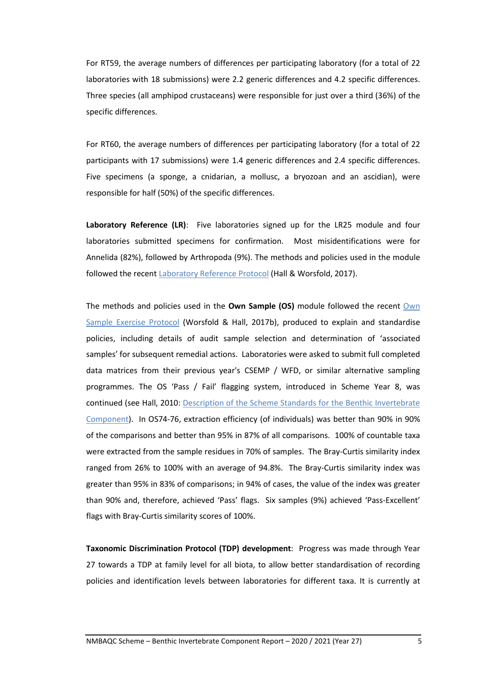For RT59, the average numbers of differences per participating laboratory (for a total of 22 laboratories with 18 submissions) were 2.2 generic differences and 4.2 specific differences. Three species (all amphipod crustaceans) were responsible for just over a third (36%) of the specific differences.

For RT60, the average numbers of differences per participating laboratory (for a total of 22 participants with 17 submissions) were 1.4 generic differences and 2.4 specific differences. Five specimens (a sponge, a cnidarian, a mollusc, a bryozoan and an ascidian), were responsible for half (50%) of the specific differences.

**Laboratory Reference (LR)**: Five laboratories signed up for the LR25 module and four laboratories submitted specimens for confirmation. Most misidentifications were for Annelida (82%), followed by Arthropoda (9%). The methods and policies used in the module followed the recent [Laboratory Reference Protocol](http://www.nmbaqcs.org/media/1713/lr_protocol_aug2017_v21.pdf) (Hall & Worsfold, 2017).

The methods and policies used in the **Own Sample (OS)** module followed the recent [Own](http://www.nmbaqcs.org/media/1715/os_protocol_aug2017_v21_final.pdf)  [Sample Exercise Protocol](http://www.nmbaqcs.org/media/1715/os_protocol_aug2017_v21_final.pdf) (Worsfold & Hall, 2017b), produced to explain and standardise policies, including details of audit sample selection and determination of 'associated samples' for subsequent remedial actions. Laboratories were asked to submit full completed data matrices from their previous year's CSEMP / WFD, or similar alternative sampling programmes. The OS 'Pass / Fail' flagging system, introduced in Scheme Year 8, was continued (see Hall, 2010: [Description of the Scheme Standards for the Benthic Invertebrate](http://www.nmbaqcs.org/media/1152/os_standardsreview_rpt.pdf)  [Component\)](http://www.nmbaqcs.org/media/1152/os_standardsreview_rpt.pdf). In OS74-76, extraction efficiency (of individuals) was better than 90% in 90% of the comparisons and better than 95% in 87% of all comparisons. 100% of countable taxa were extracted from the sample residues in 70% of samples. The Bray-Curtis similarity index ranged from 26% to 100% with an average of 94.8%. The Bray-Curtis similarity index was greater than 95% in 83% of comparisons; in 94% of cases, the value of the index was greater than 90% and, therefore, achieved 'Pass' flags. Six samples (9%) achieved 'Pass-Excellent' flags with Bray-Curtis similarity scores of 100%.

**Taxonomic Discrimination Protocol (TDP) development**: Progress was made through Year 27 towards a TDP at family level for all biota, to allow better standardisation of recording policies and identification levels between laboratories for different taxa. It is currently at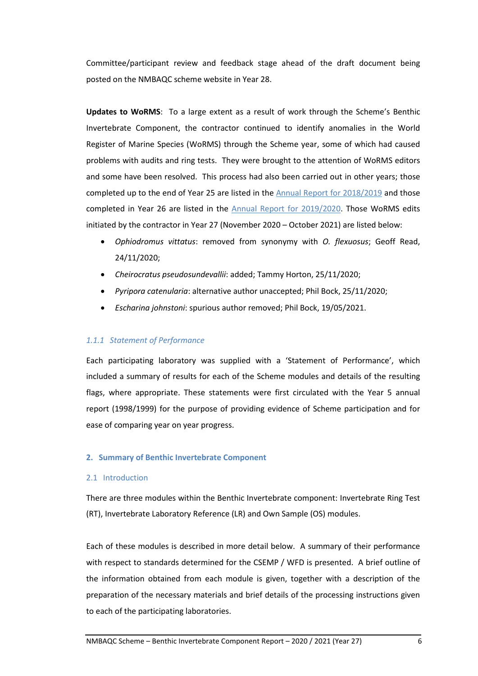Committee/participant review and feedback stage ahead of the draft document being posted on the NMBAQC scheme website in Year 28.

**Updates to WoRMS**: To a large extent as a result of work through the Scheme's Benthic Invertebrate Component, the contractor continued to identify anomalies in the World Register of Marine Species (WoRMS) through the Scheme year, some of which had caused problems with audits and ring tests. They were brought to the attention of WoRMS editors and some have been resolved. This process had also been carried out in other years; those completed up to the end of Year 25 are listed in the [Annual Report for](http://www.nmbaqcs.org/media/1766/2018_2019_yr25_annrep_bi.pdf) 2018/2019 and those completed in Year 26 are listed in the [Annual Report for](http://www.nmbaqcs.org/media/1848/2019_2020_yr26_annrep_bi_final.pdf) 2019/2020. Those WoRMS edits initiated by the contractor in Year 27 (November 2020 – October 2021) are listed below:

- *Ophiodromus vittatus*: removed from synonymy with *O. flexuosus*; Geoff Read, 24/11/2020;
- *Cheirocratus pseudosundevallii*: added; Tammy Horton, 25/11/2020;
- *Pyripora catenularia*: alternative author unaccepted; Phil Bock, 25/11/2020;
- *Escharina johnstoni*: spurious author removed; Phil Bock, 19/05/2021.

## *1.1.1 Statement of Performance*

Each participating laboratory was supplied with a 'Statement of Performance', which included a summary of results for each of the Scheme modules and details of the resulting flags, where appropriate. These statements were first circulated with the Year 5 annual report (1998/1999) for the purpose of providing evidence of Scheme participation and for ease of comparing year on year progress.

## **2. Summary of Benthic Invertebrate Component**

#### 2.1 Introduction

There are three modules within the Benthic Invertebrate component: Invertebrate Ring Test (RT), Invertebrate Laboratory Reference (LR) and Own Sample (OS) modules.

Each of these modules is described in more detail below. A summary of their performance with respect to standards determined for the CSEMP / WFD is presented. A brief outline of the information obtained from each module is given, together with a description of the preparation of the necessary materials and brief details of the processing instructions given to each of the participating laboratories.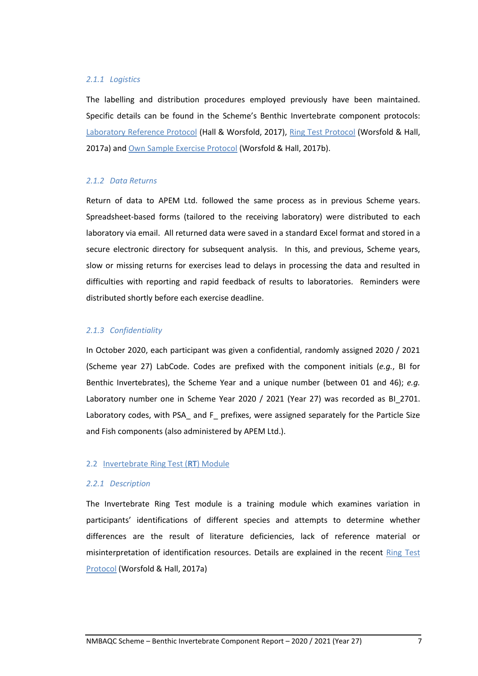#### *2.1.1 Logistics*

The labelling and distribution procedures employed previously have been maintained. Specific details can be found in the Scheme's Benthic Invertebrate component protocols: [Laboratory Reference Protocol](http://www.nmbaqcs.org/media/1713/lr_protocol_aug2017_v21.pdf) (Hall & Worsfold, 2017), [Ring Test](http://www.nmbaqcs.org/media/1714/rt_protocol_aug2017_v21.pdf) Protocol (Worsfold & Hall, 2017a) and [Own Sample Exercise Protocol](http://www.nmbaqcs.org/media/1715/os_protocol_aug2017_v21_final.pdf) (Worsfold & Hall, 2017b).

### *2.1.2 Data Returns*

Return of data to APEM Ltd. followed the same process as in previous Scheme years. Spreadsheet-based forms (tailored to the receiving laboratory) were distributed to each laboratory via email. All returned data were saved in a standard Excel format and stored in a secure electronic directory for subsequent analysis. In this, and previous, Scheme years, slow or missing returns for exercises lead to delays in processing the data and resulted in difficulties with reporting and rapid feedback of results to laboratories. Reminders were distributed shortly before each exercise deadline.

### *2.1.3 Confidentiality*

In October 2020, each participant was given a confidential, randomly assigned 2020 / 2021 (Scheme year 27) LabCode. Codes are prefixed with the component initials (*e.g.*, BI for Benthic Invertebrates), the Scheme Year and a unique number (between 01 and 46); *e.g.* Laboratory number one in Scheme Year 2020 / 2021 (Year 27) was recorded as BI\_2701. Laboratory codes, with PSA and F prefixes, were assigned separately for the Particle Size and Fish components (also administered by APEM Ltd.).

#### 2.2 Invertebrate Ring Test (**RT**) Module

#### *2.2.1 Description*

The Invertebrate Ring Test module is a training module which examines variation in participants' identifications of different species and attempts to determine whether differences are the result of literature deficiencies, lack of reference material or misinterpretation of identification resources. Details are explained in the recent Ring Test [Protocol](http://www.nmbaqcs.org/media/1714/rt_protocol_aug2017_v21.pdf) (Worsfold & Hall, 2017a)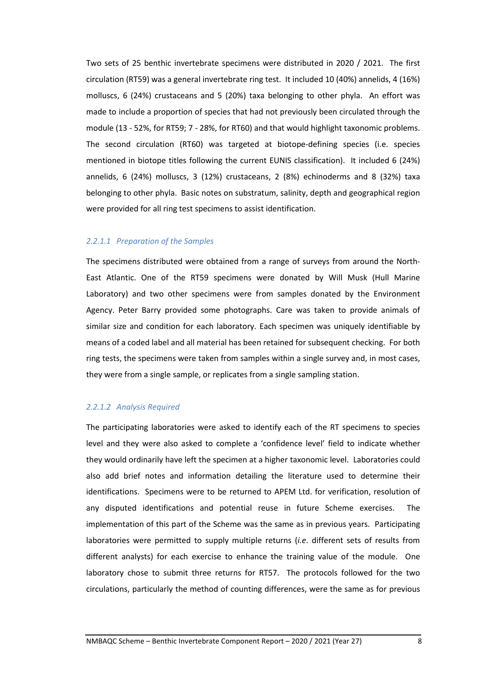Two sets of 25 benthic invertebrate specimens were distributed in 2020 / 2021. The first circulation (RT59) was a general invertebrate ring test. It included 10 (40%) annelids, 4 (16%) molluscs, 6 (24%) crustaceans and 5 (20%) taxa belonging to other phyla. An effort was made to include a proportion of species that had not previously been circulated through the module (13 - 52%, for RT59; 7 - 28%, for RT60) and that would highlight taxonomic problems. The second circulation (RT60) was targeted at biotope-defining species (i.e. species mentioned in biotope titles following the current EUNIS classification). It included 6 (24%) annelids, 6 (24%) molluscs, 3 (12%) crustaceans, 2 (8%) echinoderms and 8 (32%) taxa belonging to other phyla. Basic notes on substratum, salinity, depth and geographical region were provided for all ring test specimens to assist identification.

### *2.2.1.1 Preparation of the Samples*

The specimens distributed were obtained from a range of surveys from around the North-East Atlantic. One of the RT59 specimens were donated by Will Musk (Hull Marine Laboratory) and two other specimens were from samples donated by the Environment Agency. Peter Barry provided some photographs. Care was taken to provide animals of similar size and condition for each laboratory. Each specimen was uniquely identifiable by means of a coded label and all material has been retained for subsequent checking. For both ring tests, the specimens were taken from samples within a single survey and, in most cases, they were from a single sample, or replicates from a single sampling station.

### *2.2.1.2 Analysis Required*

The participating laboratories were asked to identify each of the RT specimens to species level and they were also asked to complete a 'confidence level' field to indicate whether they would ordinarily have left the specimen at a higher taxonomic level. Laboratories could also add brief notes and information detailing the literature used to determine their identifications. Specimens were to be returned to APEM Ltd. for verification, resolution of any disputed identifications and potential reuse in future Scheme exercises. The implementation of this part of the Scheme was the same as in previous years. Participating laboratories were permitted to supply multiple returns (*i.e*. different sets of results from different analysts) for each exercise to enhance the training value of the module. One laboratory chose to submit three returns for RT57. The protocols followed for the two circulations, particularly the method of counting differences, were the same as for previous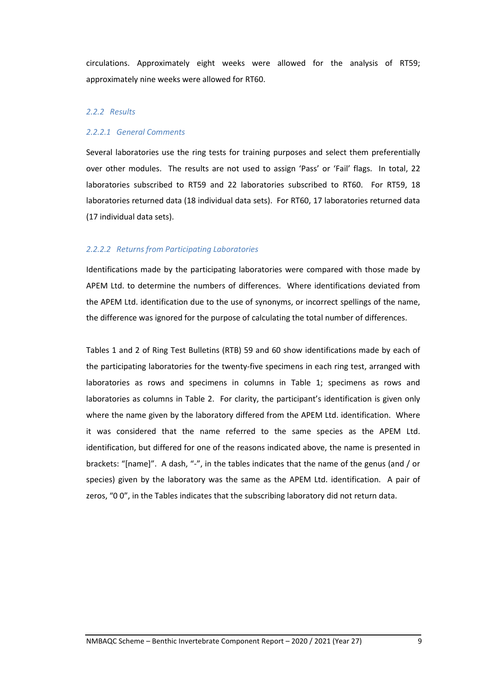circulations. Approximately eight weeks were allowed for the analysis of RT59; approximately nine weeks were allowed for RT60.

## *2.2.2 Results*

#### *2.2.2.1 General Comments*

Several laboratories use the ring tests for training purposes and select them preferentially over other modules. The results are not used to assign 'Pass' or 'Fail' flags. In total, 22 laboratories subscribed to RT59 and 22 laboratories subscribed to RT60. For RT59, 18 laboratories returned data (18 individual data sets). For RT60, 17 laboratories returned data (17 individual data sets).

#### *2.2.2.2 Returns from Participating Laboratories*

Identifications made by the participating laboratories were compared with those made by APEM Ltd. to determine the numbers of differences. Where identifications deviated from the APEM Ltd. identification due to the use of synonyms, or incorrect spellings of the name, the difference was ignored for the purpose of calculating the total number of differences.

Tables 1 and 2 of Ring Test Bulletins (RTB) 59 and 60 show identifications made by each of the participating laboratories for the twenty-five specimens in each ring test, arranged with laboratories as rows and specimens in columns in Table 1; specimens as rows and laboratories as columns in Table 2. For clarity, the participant's identification is given only where the name given by the laboratory differed from the APEM Ltd. identification. Where it was considered that the name referred to the same species as the APEM Ltd. identification, but differed for one of the reasons indicated above, the name is presented in brackets: "[name]". A dash, "-", in the tables indicates that the name of the genus (and / or species) given by the laboratory was the same as the APEM Ltd. identification. A pair of zeros, "0 0", in the Tables indicates that the subscribing laboratory did not return data.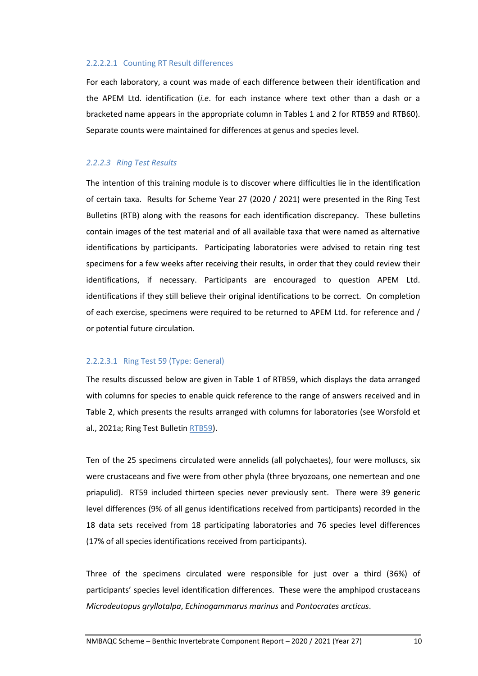#### 2.2.2.2.1 Counting RT Result differences

For each laboratory, a count was made of each difference between their identification and the APEM Ltd. identification (*i.e*. for each instance where text other than a dash or a bracketed name appears in the appropriate column in Tables 1 and 2 for RTB59 and RTB60). Separate counts were maintained for differences at genus and species level.

### *2.2.2.3 Ring Test Results*

The intention of this training module is to discover where difficulties lie in the identification of certain taxa. Results for Scheme Year 27 (2020 / 2021) were presented in the Ring Test Bulletins (RTB) along with the reasons for each identification discrepancy. These bulletins contain images of the test material and of all available taxa that were named as alternative identifications by participants. Participating laboratories were advised to retain ring test specimens for a few weeks after receiving their results, in order that they could review their identifications, if necessary. Participants are encouraged to question APEM Ltd. identifications if they still believe their original identifications to be correct. On completion of each exercise, specimens were required to be returned to APEM Ltd. for reference and / or potential future circulation.

#### 2.2.2.3.1 Ring Test 59 (Type: General)

The results discussed below are given in Table 1 of RTB59, which displays the data arranged with columns for species to enable quick reference to the range of answers received and in Table 2, which presents the results arranged with columns for laboratories (see Worsfold et al., 2021a; Ring Test Bulletin [RTB59\)](http://www.nmbaqcs.org/media/1811/ring-test-59-bulletin.pdf).

Ten of the 25 specimens circulated were annelids (all polychaetes), four were molluscs, six were crustaceans and five were from other phyla (three bryozoans, one nemertean and one priapulid). RT59 included thirteen species never previously sent. There were 39 generic level differences (9% of all genus identifications received from participants) recorded in the 18 data sets received from 18 participating laboratories and 76 species level differences (17% of all species identifications received from participants).

Three of the specimens circulated were responsible for just over a third (36%) of participants' species level identification differences. These were the amphipod crustaceans *Microdeutopus gryllotalpa*, *Echinogammarus marinus* and *Pontocrates arcticus*.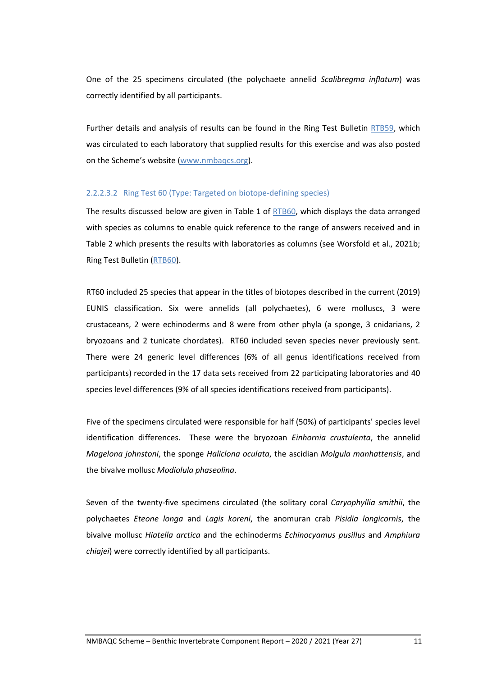One of the 25 specimens circulated (the polychaete annelid *Scalibregma inflatum*) was correctly identified by all participants.

Further details and analysis of results can be found in the Ring Test Bulletin [RTB59](http://www.nmbaqcs.org/media/1811/ring-test-59-bulletin.pdf), which was circulated to each laboratory that supplied results for this exercise and was also posted on the Scheme's website [\(www.nmbaqcs.org\)](http://www.nmbaqcs.org/).

## 2.2.2.3.2 Ring Test 60 (Type: Targeted on biotope-defining species)

The results discussed below are given in Table 1 of [RTB60,](http://www.nmbaqcs.org/media/1823/ring-test-60-bulletin.pdf) which displays the data arranged with species as columns to enable quick reference to the range of answers received and in Table 2 which presents the results with laboratories as columns (see Worsfold et al., 2021b; Ring Test Bulletin [\(RTB60\)](http://www.nmbaqcs.org/media/1823/ring-test-60-bulletin.pdf).

RT60 included 25 species that appear in the titles of biotopes described in the current (2019) EUNIS classification. Six were annelids (all polychaetes), 6 were molluscs, 3 were crustaceans, 2 were echinoderms and 8 were from other phyla (a sponge, 3 cnidarians, 2 bryozoans and 2 tunicate chordates). RT60 included seven species never previously sent. There were 24 generic level differences (6% of all genus identifications received from participants) recorded in the 17 data sets received from 22 participating laboratories and 40 species level differences (9% of all species identifications received from participants).

Five of the specimens circulated were responsible for half (50%) of participants' species level identification differences. These were the bryozoan *Einhornia crustulenta*, the annelid *Magelona johnstoni*, the sponge *Haliclona oculata*, the ascidian *Molgula manhattensis*, and the bivalve mollusc *Modiolula phaseolina*.

Seven of the twenty-five specimens circulated (the solitary coral *Caryophyllia smithii*, the polychaetes *Eteone longa* and *Lagis koreni*, the anomuran crab *Pisidia longicornis*, the bivalve mollusc *Hiatella arctica* and the echinoderms *Echinocyamus pusillus* and *Amphiura chiajei*) were correctly identified by all participants.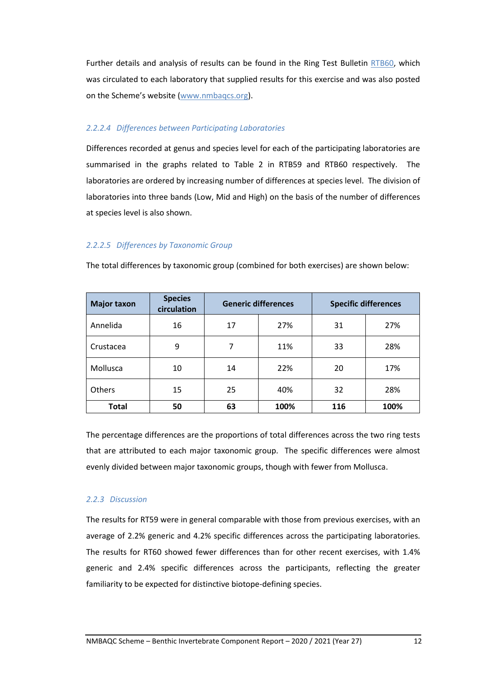Further details and analysis of results can be found in the Ring Test Bulletin [RTB60,](http://www.nmbaqcs.org/media/1823/ring-test-60-bulletin.pdf) which was circulated to each laboratory that supplied results for this exercise and was also posted on the Scheme's website [\(www.nmbaqcs.org\)](http://www.nmbaqcs.org/).

# *2.2.2.4 Differences between Participating Laboratories*

Differences recorded at genus and species level for each of the participating laboratories are summarised in the graphs related to Table 2 in RTB59 and RTB60 respectively. The laboratories are ordered by increasing number of differences at species level. The division of laboratories into three bands (Low, Mid and High) on the basis of the number of differences at species level is also shown.

# *2.2.2.5 Differences by Taxonomic Group*

The total differences by taxonomic group (combined for both exercises) are shown below:

| <b>Major taxon</b> | <b>Species</b><br>circulation | <b>Generic differences</b> |      | <b>Specific differences</b> |      |
|--------------------|-------------------------------|----------------------------|------|-----------------------------|------|
| Annelida           | 16                            | 17                         | 27%  | 31                          | 27%  |
| Crustacea          | 9                             | 7                          | 11%  | 33                          | 28%  |
| Mollusca           | 10                            | 14                         | 22%  | 20                          | 17%  |
| <b>Others</b>      | 15                            | 25                         | 40%  | 32                          | 28%  |
| <b>Total</b>       | 50                            | 63                         | 100% | 116                         | 100% |

The percentage differences are the proportions of total differences across the two ring tests that are attributed to each major taxonomic group. The specific differences were almost evenly divided between major taxonomic groups, though with fewer from Mollusca.

# *2.2.3 Discussion*

The results for RT59 were in general comparable with those from previous exercises, with an average of 2.2% generic and 4.2% specific differences across the participating laboratories. The results for RT60 showed fewer differences than for other recent exercises, with 1.4% generic and 2.4% specific differences across the participants, reflecting the greater familiarity to be expected for distinctive biotope-defining species.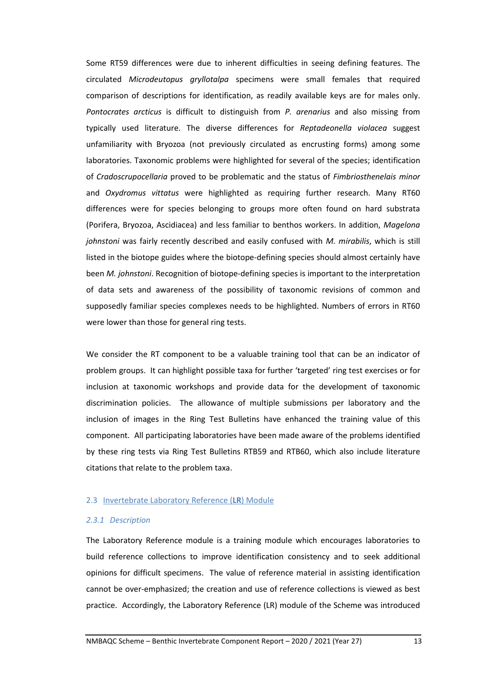Some RT59 differences were due to inherent difficulties in seeing defining features. The circulated *Microdeutopus gryllotalpa* specimens were small females that required comparison of descriptions for identification, as readily available keys are for males only. *Pontocrates arcticus* is difficult to distinguish from *P. arenarius* and also missing from typically used literature. The diverse differences for *Reptadeonella violacea* suggest unfamiliarity with Bryozoa (not previously circulated as encrusting forms) among some laboratories. Taxonomic problems were highlighted for several of the species; identification of *Cradoscrupocellaria* proved to be problematic and the status of *Fimbriosthenelais minor* and *Oxydromus vittatus* were highlighted as requiring further research. Many RT60 differences were for species belonging to groups more often found on hard substrata (Porifera, Bryozoa, Ascidiacea) and less familiar to benthos workers. In addition, *Magelona johnstoni* was fairly recently described and easily confused with *M. mirabilis*, which is still listed in the biotope guides where the biotope-defining species should almost certainly have been *M. johnstoni*. Recognition of biotope-defining species is important to the interpretation of data sets and awareness of the possibility of taxonomic revisions of common and supposedly familiar species complexes needs to be highlighted. Numbers of errors in RT60 were lower than those for general ring tests.

We consider the RT component to be a valuable training tool that can be an indicator of problem groups. It can highlight possible taxa for further 'targeted' ring test exercises or for inclusion at taxonomic workshops and provide data for the development of taxonomic discrimination policies. The allowance of multiple submissions per laboratory and the inclusion of images in the Ring Test Bulletins have enhanced the training value of this component. All participating laboratories have been made aware of the problems identified by these ring tests via Ring Test Bulletins RTB59 and RTB60, which also include literature citations that relate to the problem taxa.

#### 2.3 Invertebrate Laboratory Reference (**LR**) Module

#### *2.3.1 Description*

The Laboratory Reference module is a training module which encourages laboratories to build reference collections to improve identification consistency and to seek additional opinions for difficult specimens. The value of reference material in assisting identification cannot be over-emphasized; the creation and use of reference collections is viewed as best practice. Accordingly, the Laboratory Reference (LR) module of the Scheme was introduced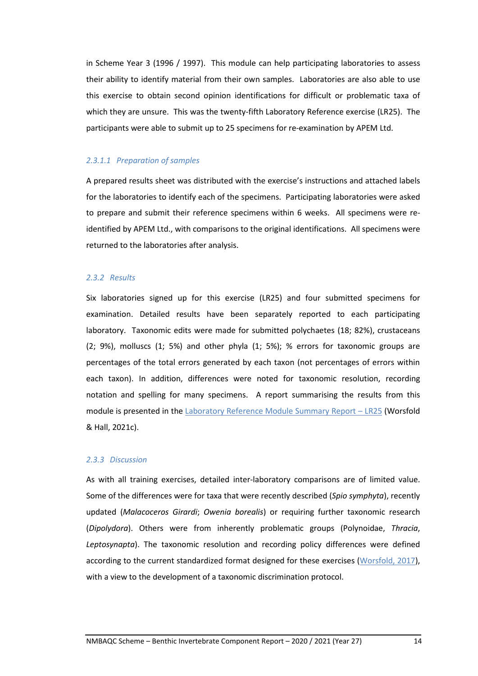in Scheme Year 3 (1996 / 1997). This module can help participating laboratories to assess their ability to identify material from their own samples. Laboratories are also able to use this exercise to obtain second opinion identifications for difficult or problematic taxa of which they are unsure. This was the twenty-fifth Laboratory Reference exercise (LR25). The participants were able to submit up to 25 specimens for re-examination by APEM Ltd.

#### *2.3.1.1 Preparation of samples*

A prepared results sheet was distributed with the exercise's instructions and attached labels for the laboratories to identify each of the specimens. Participating laboratories were asked to prepare and submit their reference specimens within 6 weeks. All specimens were reidentified by APEM Ltd., with comparisons to the original identifications. All specimens were returned to the laboratories after analysis.

## *2.3.2 Results*

Six laboratories signed up for this exercise (LR25) and four submitted specimens for examination. Detailed results have been separately reported to each participating laboratory. Taxonomic edits were made for submitted polychaetes (18; 82%), crustaceans (2; 9%), molluscs (1; 5%) and other phyla (1; 5%); % errors for taxonomic groups are percentages of the total errors generated by each taxon (not percentages of errors within each taxon). In addition, differences were noted for taxonomic resolution, recording notation and spelling for many specimens. A report summarising the results from this module is presented in th[e Laboratory Reference Module Summary Report](http://www.nmbaqcs.org/media/1858/lr25_summaryreport.pdf) - LR25 (Worsfold & Hall, 2021c).

#### *2.3.3 Discussion*

As with all training exercises, detailed inter-laboratory comparisons are of limited value. Some of the differences were for taxa that were recently described (*Spio symphyta*), recently updated (*Malacoceros Girardi*; *Owenia borealis*) or requiring further taxonomic research (*Dipolydora*). Others were from inherently problematic groups (Polynoidae, *Thracia*, *Leptosynapta*). The taxonomic resolution and recording policy differences were defined according to the current standardized format designed for these exercises [\(Worsfold, 2017\)](http://www.nmbaqcs.org/media/1706/review-of-recording-identification-policy-differences.pdf), with a view to the development of a taxonomic discrimination protocol.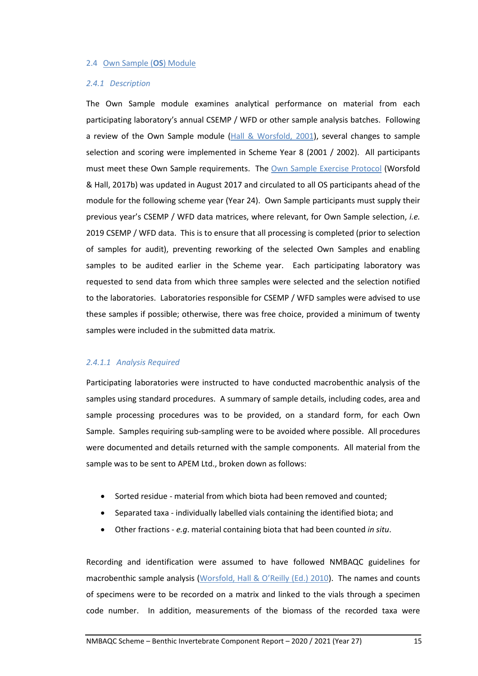#### 2.4 Own Sample (**OS**) Module

#### *2.4.1 Description*

The Own Sample module examines analytical performance on material from each participating laboratory's annual CSEMP / WFD or other sample analysis batches. Following a review of the Own Sample module  $(Hall & Worsfold, 2001)$  $(Hall & Worsfold, 2001)$ , several changes to sample selection and scoring were implemented in Scheme Year 8 (2001 / 2002). All participants must meet these Own Sample requirements. The [Own Sample Exercise Protocol](http://www.nmbaqcs.org/media/1715/os_protocol_aug2017_v21_final.pdf) (Worsfold & Hall, 2017b) was updated in August 2017 and circulated to all OS participants ahead of the module for the following scheme year (Year 24). Own Sample participants must supply their previous year's CSEMP / WFD data matrices, where relevant, for Own Sample selection, *i.e.* 2019 CSEMP / WFD data. This is to ensure that all processing is completed (prior to selection of samples for audit), preventing reworking of the selected Own Samples and enabling samples to be audited earlier in the Scheme year. Each participating laboratory was requested to send data from which three samples were selected and the selection notified to the laboratories. Laboratories responsible for CSEMP / WFD samples were advised to use these samples if possible; otherwise, there was free choice, provided a minimum of twenty samples were included in the submitted data matrix.

#### *2.4.1.1 Analysis Required*

Participating laboratories were instructed to have conducted macrobenthic analysis of the samples using standard procedures. A summary of sample details, including codes, area and sample processing procedures was to be provided, on a standard form, for each Own Sample. Samples requiring sub-sampling were to be avoided where possible. All procedures were documented and details returned with the sample components. All material from the sample was to be sent to APEM Ltd., broken down as follows:

- Sorted residue material from which biota had been removed and counted;
- Separated taxa individually labelled vials containing the identified biota; and
- Other fractions *e.g*. material containing biota that had been counted *in situ*.

Recording and identification were assumed to have followed NMBAQC guidelines for macrobenthic sample analysis [\(Worsfold, Hall & O](http://www.nmbaqcs.org/media/1175/nmbaqc-inv-prp-v10-june2010.pdf)'Reilly (Ed.) 2010). The names and counts of specimens were to be recorded on a matrix and linked to the vials through a specimen code number. In addition, measurements of the biomass of the recorded taxa were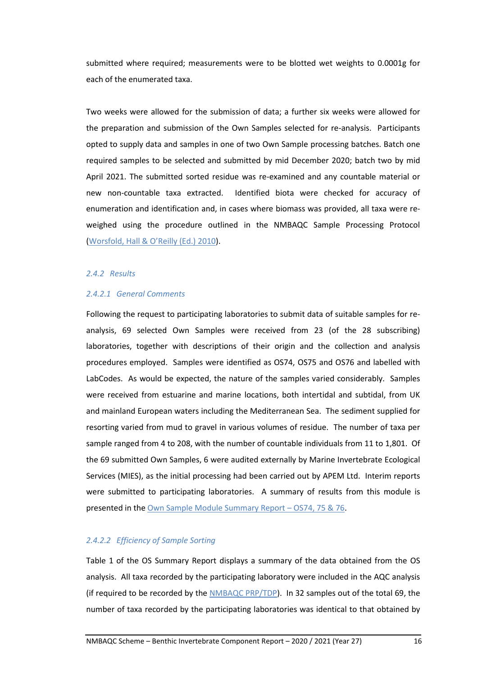submitted where required; measurements were to be blotted wet weights to 0.0001g for each of the enumerated taxa.

Two weeks were allowed for the submission of data; a further six weeks were allowed for the preparation and submission of the Own Samples selected for re-analysis. Participants opted to supply data and samples in one of two Own Sample processing batches. Batch one required samples to be selected and submitted by mid December 2020; batch two by mid April 2021. The submitted sorted residue was re-examined and any countable material or new non-countable taxa extracted. Identified biota were checked for accuracy of enumeration and identification and, in cases where biomass was provided, all taxa were reweighed using the procedure outlined in the NMBAQC Sample Processing Protocol [\(Worsfold, Hall & O](http://www.nmbaqcs.org/media/1175/nmbaqc-inv-prp-v10-june2010.pdf)'Reilly (Ed.) 2010).

#### *2.4.2 Results*

## *2.4.2.1 General Comments*

Following the request to participating laboratories to submit data of suitable samples for reanalysis, 69 selected Own Samples were received from 23 (of the 28 subscribing) laboratories, together with descriptions of their origin and the collection and analysis procedures employed. Samples were identified as OS74, OS75 and OS76 and labelled with LabCodes. As would be expected, the nature of the samples varied considerably. Samples were received from estuarine and marine locations, both intertidal and subtidal, from UK and mainland European waters including the Mediterranean Sea. The sediment supplied for resorting varied from mud to gravel in various volumes of residue. The number of taxa per sample ranged from 4 to 208, with the number of countable individuals from 11 to 1,801. Of the 69 submitted Own Samples, 6 were audited externally by Marine Invertebrate Ecological Services (MIES), as the initial processing had been carried out by APEM Ltd. Interim reports were submitted to participating laboratories. A summary of results from this module is presented in the Own Sample [Module Summary](http://www.nmbaqcs.org/media/1862/os747576_os-summary-report_031221.pdf) Report – OS74, 75 & 76.

## *2.4.2.2 Efficiency of Sample Sorting*

Table 1 of the OS Summary Report displays a summary of the data obtained from the OS analysis. All taxa recorded by the participating laboratory were included in the AQC analysis (if required to be recorded by the [NMBAQC PRP/TDP\)](http://www.nmbaqcs.org/media/1175/nmbaqc-inv-prp-v10-june2010.pdf). In 32 samples out of the total 69, the number of taxa recorded by the participating laboratories was identical to that obtained by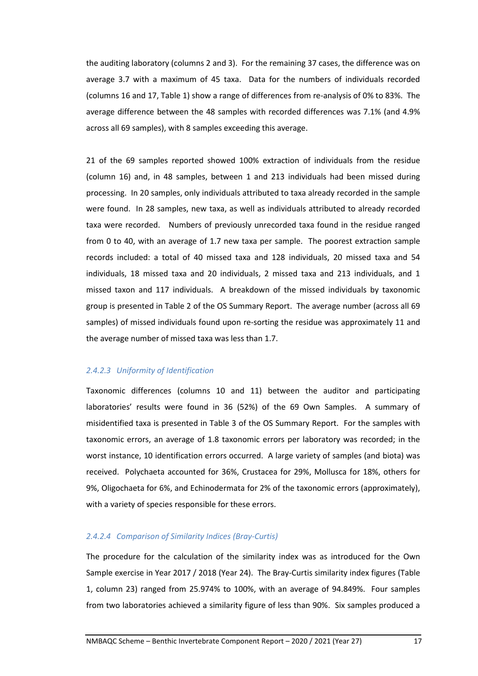the auditing laboratory (columns 2 and 3). For the remaining 37 cases, the difference was on average 3.7 with a maximum of 45 taxa. Data for the numbers of individuals recorded (columns 16 and 17, Table 1) show a range of differences from re-analysis of 0% to 83%. The average difference between the 48 samples with recorded differences was 7.1% (and 4.9% across all 69 samples), with 8 samples exceeding this average.

21 of the 69 samples reported showed 100% extraction of individuals from the residue (column 16) and, in 48 samples, between 1 and 213 individuals had been missed during processing. In 20 samples, only individuals attributed to taxa already recorded in the sample were found. In 28 samples, new taxa, as well as individuals attributed to already recorded taxa were recorded. Numbers of previously unrecorded taxa found in the residue ranged from 0 to 40, with an average of 1.7 new taxa per sample. The poorest extraction sample records included: a total of 40 missed taxa and 128 individuals, 20 missed taxa and 54 individuals, 18 missed taxa and 20 individuals, 2 missed taxa and 213 individuals, and 1 missed taxon and 117 individuals. A breakdown of the missed individuals by taxonomic group is presented in Table 2 of the OS Summary Report. The average number (across all 69 samples) of missed individuals found upon re-sorting the residue was approximately 11 and the average number of missed taxa was less than 1.7.

## *2.4.2.3 Uniformity of Identification*

Taxonomic differences (columns 10 and 11) between the auditor and participating laboratories' results were found in 36 (52%) of the 69 Own Samples. A summary of misidentified taxa is presented in Table 3 of the OS Summary Report. For the samples with taxonomic errors, an average of 1.8 taxonomic errors per laboratory was recorded; in the worst instance, 10 identification errors occurred. A large variety of samples (and biota) was received. Polychaeta accounted for 36%, Crustacea for 29%, Mollusca for 18%, others for 9%, Oligochaeta for 6%, and Echinodermata for 2% of the taxonomic errors (approximately), with a variety of species responsible for these errors.

## *2.4.2.4 Comparison of Similarity Indices (Bray-Curtis)*

The procedure for the calculation of the similarity index was as introduced for the Own Sample exercise in Year 2017 / 2018 (Year 24). The Bray-Curtis similarity index figures (Table 1, column 23) ranged from 25.974% to 100%, with an average of 94.849%. Four samples from two laboratories achieved a similarity figure of less than 90%. Six samples produced a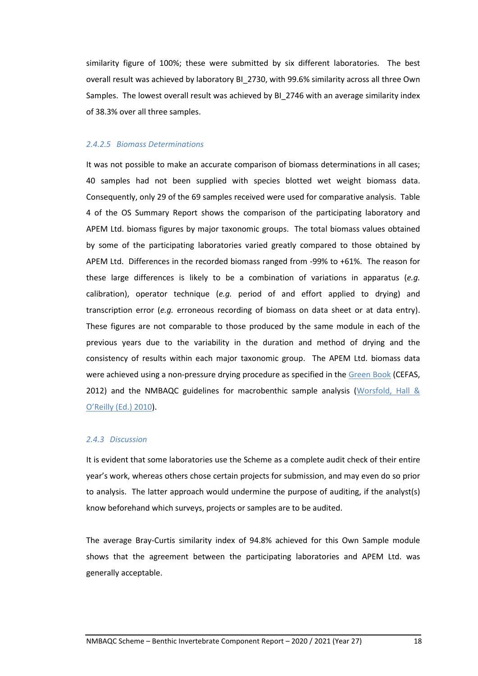similarity figure of 100%; these were submitted by six different laboratories. The best overall result was achieved by laboratory BI\_2730, with 99.6% similarity across all three Own Samples. The lowest overall result was achieved by BI\_2746 with an average similarity index of 38.3% over all three samples.

#### *2.4.2.5 Biomass Determinations*

It was not possible to make an accurate comparison of biomass determinations in all cases; 40 samples had not been supplied with species blotted wet weight biomass data. Consequently, only 29 of the 69 samples received were used for comparative analysis. Table 4 of the OS Summary Report shows the comparison of the participating laboratory and APEM Ltd. biomass figures by major taxonomic groups. The total biomass values obtained by some of the participating laboratories varied greatly compared to those obtained by APEM Ltd. Differences in the recorded biomass ranged from -99% to +61%. The reason for these large differences is likely to be a combination of variations in apparatus (*e.g.* calibration), operator technique (*e.g.* period of and effort applied to drying) and transcription error (*e.g.* erroneous recording of biomass on data sheet or at data entry). These figures are not comparable to those produced by the same module in each of the previous years due to the variability in the duration and method of drying and the consistency of results within each major taxonomic group. The APEM Ltd. biomass data were achieved using a non-pressure drying procedure as specified in the [Green Book](https://www.cefas.co.uk/publications/greenbook/greenbookv15.pdf) (CEFAS, 2012) and the NMBAQC guidelines for macrobenthic sample analysis (Worsfold, Hall  $\&$ O'[Reilly \(Ed.\) 2010\)](http://www.nmbaqcs.org/media/1175/nmbaqc-inv-prp-v10-june2010.pdf).

#### *2.4.3 Discussion*

It is evident that some laboratories use the Scheme as a complete audit check of their entire year's work, whereas others chose certain projects for submission, and may even do so prior to analysis. The latter approach would undermine the purpose of auditing, if the analyst(s) know beforehand which surveys, projects or samples are to be audited.

The average Bray-Curtis similarity index of 94.8% achieved for this Own Sample module shows that the agreement between the participating laboratories and APEM Ltd. was generally acceptable.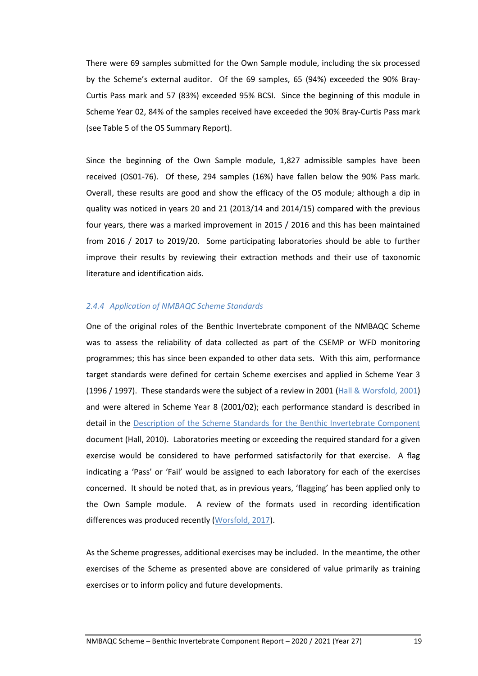There were 69 samples submitted for the Own Sample module, including the six processed by the Scheme's external auditor. Of the 69 samples, 65 (94%) exceeded the 90% Bray-Curtis Pass mark and 57 (83%) exceeded 95% BCSI. Since the beginning of this module in Scheme Year 02, 84% of the samples received have exceeded the 90% Bray-Curtis Pass mark (see Table 5 of the OS Summary Report).

Since the beginning of the Own Sample module, 1,827 admissible samples have been received (OS01-76). Of these, 294 samples (16%) have fallen below the 90% Pass mark. Overall, these results are good and show the efficacy of the OS module; although a dip in quality was noticed in years 20 and 21 (2013/14 and 2014/15) compared with the previous four years, there was a marked improvement in 2015 / 2016 and this has been maintained from 2016 / 2017 to 2019/20. Some participating laboratories should be able to further improve their results by reviewing their extraction methods and their use of taxonomic literature and identification aids.

#### *2.4.4 Application of NMBAQC Scheme Standards*

One of the original roles of the Benthic Invertebrate component of the NMBAQC Scheme was to assess the reliability of data collected as part of the CSEMP or WFD monitoring programmes; this has since been expanded to other data sets. With this aim, performance target standards were defined for certain Scheme exercises and applied in Scheme Year 3 (1996 / 1997). These standards were the subject of a review in 2001 (Hall & [Worsfold, 2001\)](http://www.nmbaqcs.org/media/1152/os_standardsreview_rpt.pdf) and were altered in Scheme Year 8 (2001/02); each performance standard is described in detail in the Description of the Scheme [Standards for the Benthic Invertebrate Component](http://www.nmbaqcs.org/media/1152/os_standardsreview_rpt.pdf) document (Hall, 2010). Laboratories meeting or exceeding the required standard for a given exercise would be considered to have performed satisfactorily for that exercise. A flag indicating a 'Pass' or 'Fail' would be assigned to each laboratory for each of the exercises concerned. It should be noted that, as in previous years, 'flagging' has been applied only to the Own Sample module. A review of the formats used in recording identification differences was produced recently [\(Worsfold, 2017\)](http://www.nmbaqcs.org/media/1706/review-of-recording-identification-policy-differences.pdf).

As the Scheme progresses, additional exercises may be included. In the meantime, the other exercises of the Scheme as presented above are considered of value primarily as training exercises or to inform policy and future developments.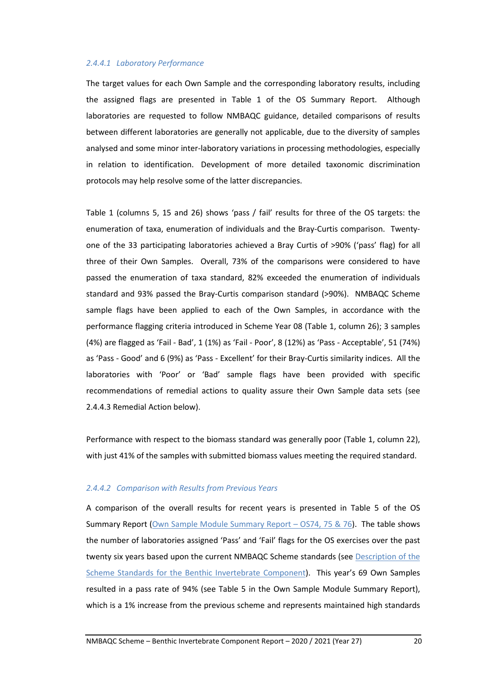### *2.4.4.1 Laboratory Performance*

The target values for each Own Sample and the corresponding laboratory results, including the assigned flags are presented in Table 1 of the OS Summary Report. Although laboratories are requested to follow NMBAQC guidance, detailed comparisons of results between different laboratories are generally not applicable, due to the diversity of samples analysed and some minor inter-laboratory variations in processing methodologies, especially in relation to identification. Development of more detailed taxonomic discrimination protocols may help resolve some of the latter discrepancies.

Table 1 (columns 5, 15 and 26) shows 'pass / fail' results for three of the OS targets: the enumeration of taxa, enumeration of individuals and the Bray-Curtis comparison. Twentyone of the 33 participating laboratories achieved a Bray Curtis of >90% ('pass' flag) for all three of their Own Samples. Overall, 73% of the comparisons were considered to have passed the enumeration of taxa standard, 82% exceeded the enumeration of individuals standard and 93% passed the Bray-Curtis comparison standard (>90%). NMBAQC Scheme sample flags have been applied to each of the Own Samples, in accordance with the performance flagging criteria introduced in Scheme Year 08 (Table 1, column 26); 3 samples (4%) are flagged as 'Fail - Bad', 1 (1%) as 'Fail - Poor', 8 (12%) as 'Pass - Acceptable', 51 (74%) as 'Pass - Good' and 6 (9%) as 'Pass - Excellent' for their Bray-Curtis similarity indices. All the laboratories with 'Poor' or 'Bad' sample flags have been provided with specific recommendations of remedial actions to quality assure their Own Sample data sets (see 2.4.4.3 Remedial Action below).

Performance with respect to the biomass standard was generally poor (Table 1, column 22), with just 41% of the samples with submitted biomass values meeting the required standard.

## *2.4.4.2 Comparison with Results from Previous Years*

A comparison of the overall results for recent years is presented in Table 5 of the OS Summary Report (Own Sample Module [Summary Report](http://www.nmbaqcs.org/media/1862/os747576_os-summary-report_031221.pdf) – OS74, 75 & 76). The table shows the number of laboratories assigned 'Pass' and 'Fail' flags for the OS exercises over the past twenty six years based upon the current NMBAQC Scheme standards (see Description of the [Scheme Standards for the Benthic Invertebrate Component\)](http://www.nmbaqcs.org/media/1152/os_standardsreview_rpt.pdf). This year's 69 Own Samples resulted in a pass rate of 94% (see Table 5 in the Own Sample Module Summary Report), which is a 1% increase from the previous scheme and represents maintained high standards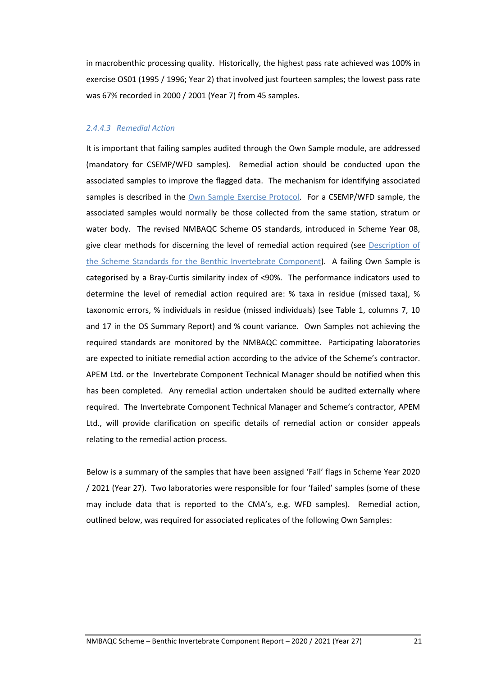in macrobenthic processing quality. Historically, the highest pass rate achieved was 100% in exercise OS01 (1995 / 1996; Year 2) that involved just fourteen samples; the lowest pass rate was 67% recorded in 2000 / 2001 (Year 7) from 45 samples.

#### *2.4.4.3 Remedial Action*

It is important that failing samples audited through the Own Sample module, are addressed (mandatory for CSEMP/WFD samples). Remedial action should be conducted upon the associated samples to improve the flagged data. The mechanism for identifying associated samples is described in the [Own Sample Exercise Protocol.](http://www.nmbaqcs.org/media/1715/os_protocol_aug2017_v21_final.pdf) For a CSEMP/WFD sample, the associated samples would normally be those collected from the same station, stratum or water body. The revised NMBAQC Scheme OS standards, introduced in Scheme Year 08, give clear methods for discerning the level of remedial action required (see Description of [the Scheme Standards for the Benthic Invertebrate Component\)](http://www.nmbaqcs.org/media/1152/os_standardsreview_rpt.pdf). A failing Own Sample is categorised by a Bray-Curtis similarity index of <90%. The performance indicators used to determine the level of remedial action required are: % taxa in residue (missed taxa), % taxonomic errors, % individuals in residue (missed individuals) (see Table 1, columns 7, 10 and 17 in the OS Summary Report) and % count variance. Own Samples not achieving the required standards are monitored by the NMBAQC committee. Participating laboratories are expected to initiate remedial action according to the advice of the Scheme's contractor. APEM Ltd. or the Invertebrate Component Technical Manager should be notified when this has been completed. Any remedial action undertaken should be audited externally where required. The Invertebrate Component Technical Manager and Scheme's contractor, APEM Ltd., will provide clarification on specific details of remedial action or consider appeals relating to the remedial action process.

Below is a summary of the samples that have been assigned 'Fail' flags in Scheme Year 2020 / 2021 (Year 27). Two laboratories were responsible for four 'failed' samples (some of these may include data that is reported to the CMA's, e.g. WFD samples). Remedial action, outlined below, was required for associated replicates of the following Own Samples: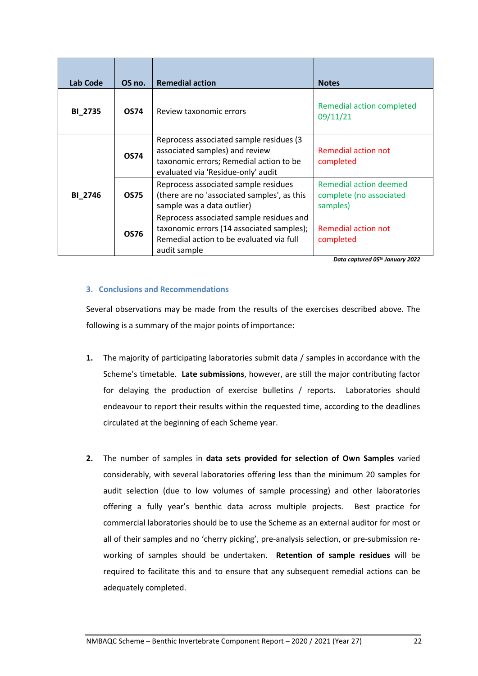| Lab Code       | OS no.      | <b>Remedial action</b>                                                                                                                                      | <b>Notes</b>                                                  |
|----------------|-------------|-------------------------------------------------------------------------------------------------------------------------------------------------------------|---------------------------------------------------------------|
| <b>BI_2735</b> | <b>OS74</b> | Review taxonomic errors                                                                                                                                     | Remedial action completed<br>09/11/21                         |
|                | <b>OS74</b> | Reprocess associated sample residues (3)<br>associated samples) and review<br>taxonomic errors; Remedial action to be<br>evaluated via 'Residue-only' audit | Remedial action not<br>completed                              |
| <b>BI_2746</b> | <b>OS75</b> | Reprocess associated sample residues<br>(there are no 'associated samples', as this<br>sample was a data outlier)                                           | Remedial action deemed<br>complete (no associated<br>samples) |
|                | <b>OS76</b> | Reprocess associated sample residues and<br>taxonomic errors (14 associated samples);<br>Remedial action to be evaluated via full<br>audit sample           | <b>Remedial action not</b><br>completed                       |

*Data captured 05th January 2022*

# **3. Conclusions and Recommendations**

Several observations may be made from the results of the exercises described above. The following is a summary of the major points of importance:

- **1.** The majority of participating laboratories submit data / samples in accordance with the Scheme's timetable. **Late submissions**, however, are still the major contributing factor for delaying the production of exercise bulletins / reports. Laboratories should endeavour to report their results within the requested time, according to the deadlines circulated at the beginning of each Scheme year.
- **2.** The number of samples in **data sets provided for selection of Own Samples** varied considerably, with several laboratories offering less than the minimum 20 samples for audit selection (due to low volumes of sample processing) and other laboratories offering a fully year's benthic data across multiple projects. Best practice for commercial laboratories should be to use the Scheme as an external auditor for most or all of their samples and no 'cherry picking', pre-analysis selection, or pre-submission reworking of samples should be undertaken. **Retention of sample residues** will be required to facilitate this and to ensure that any subsequent remedial actions can be adequately completed.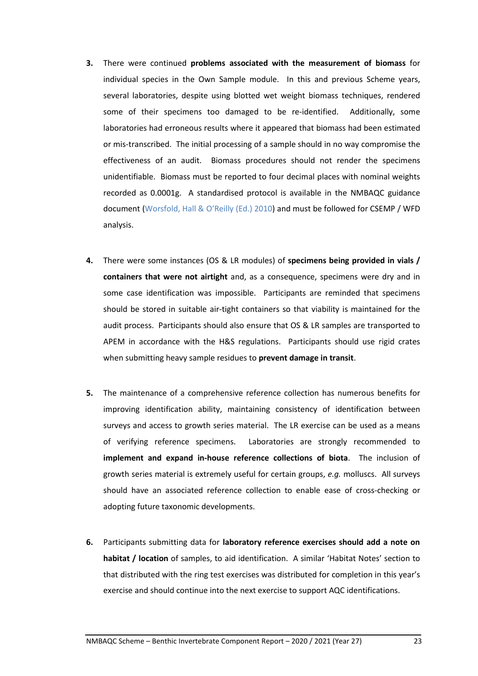- **3.** There were continued **problems associated with the measurement of biomass** for individual species in the Own Sample module. In this and previous Scheme years, several laboratories, despite using blotted wet weight biomass techniques, rendered some of their specimens too damaged to be re-identified. Additionally, some laboratories had erroneous results where it appeared that biomass had been estimated or mis-transcribed. The initial processing of a sample should in no way compromise the effectiveness of an audit. Biomass procedures should not render the specimens unidentifiable. Biomass must be reported to four decimal places with nominal weights recorded as 0.0001g. A standardised protocol is available in the NMBAQC guidance document [\(Worsfold, Hall & O](http://www.nmbaqcs.org/media/1175/nmbaqc-inv-prp-v10-june2010.pdf)'Reilly (Ed.) 2010) and must be followed for CSEMP / WFD analysis.
- **4.** There were some instances (OS & LR modules) of **specimens being provided in vials / containers that were not airtight** and, as a consequence, specimens were dry and in some case identification was impossible. Participants are reminded that specimens should be stored in suitable air-tight containers so that viability is maintained for the audit process. Participants should also ensure that OS & LR samples are transported to APEM in accordance with the H&S regulations. Participants should use rigid crates when submitting heavy sample residues to **prevent damage in transit**.
- **5.** The maintenance of a comprehensive reference collection has numerous benefits for improving identification ability, maintaining consistency of identification between surveys and access to growth series material. The LR exercise can be used as a means of verifying reference specimens. Laboratories are strongly recommended to **implement and expand in-house reference collections of biota**. The inclusion of growth series material is extremely useful for certain groups, *e.g.* molluscs. All surveys should have an associated reference collection to enable ease of cross-checking or adopting future taxonomic developments.
- **6.** Participants submitting data for **laboratory reference exercises should add a note on habitat / location** of samples, to aid identification. A similar 'Habitat Notes' section to that distributed with the ring test exercises was distributed for completion in this year's exercise and should continue into the next exercise to support AQC identifications.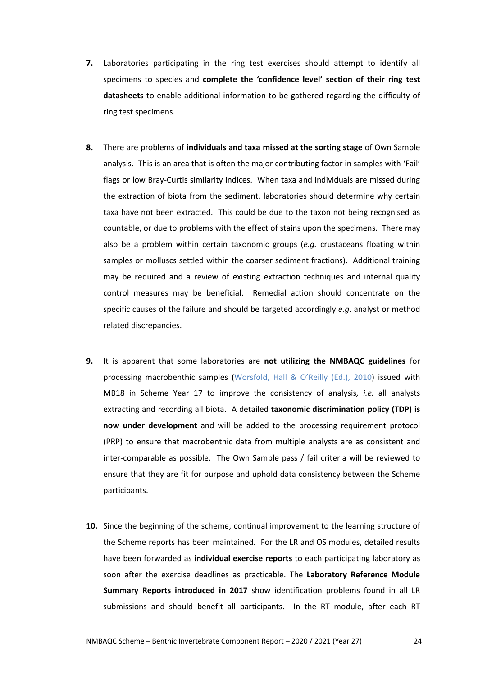- **7.** Laboratories participating in the ring test exercises should attempt to identify all specimens to species and **complete the 'confidence level' section of their ring test datasheets** to enable additional information to be gathered regarding the difficulty of ring test specimens.
- **8.** There are problems of **individuals and taxa missed at the sorting stage** of Own Sample analysis. This is an area that is often the major contributing factor in samples with 'Fail' flags or low Bray-Curtis similarity indices. When taxa and individuals are missed during the extraction of biota from the sediment, laboratories should determine why certain taxa have not been extracted. This could be due to the taxon not being recognised as countable, or due to problems with the effect of stains upon the specimens. There may also be a problem within certain taxonomic groups (*e.g.* crustaceans floating within samples or molluscs settled within the coarser sediment fractions). Additional training may be required and a review of existing extraction techniques and internal quality control measures may be beneficial. Remedial action should concentrate on the specific causes of the failure and should be targeted accordingly *e.g*. analyst or method related discrepancies.
- **9.** It is apparent that some laboratories are **not utilizing the NMBAQC guidelines** for processing macrobenthic samples [\(Worsfold, Hall & O](http://www.nmbaqcs.org/media/1175/nmbaqc-inv-prp-v10-june2010.pdf)'Reilly (Ed.), 2010) issued with MB18 in Scheme Year 17 to improve the consistency of analysis*, i.e.* all analysts extracting and recording all biota. A detailed **taxonomic discrimination policy (TDP) is now under development** and will be added to the processing requirement protocol (PRP) to ensure that macrobenthic data from multiple analysts are as consistent and inter-comparable as possible. The Own Sample pass / fail criteria will be reviewed to ensure that they are fit for purpose and uphold data consistency between the Scheme participants.
- **10.** Since the beginning of the scheme, continual improvement to the learning structure of the Scheme reports has been maintained. For the LR and OS modules, detailed results have been forwarded as **individual exercise reports** to each participating laboratory as soon after the exercise deadlines as practicable. The **Laboratory Reference Module Summary Reports introduced in 2017** show identification problems found in all LR submissions and should benefit all participants. In the RT module, after each RT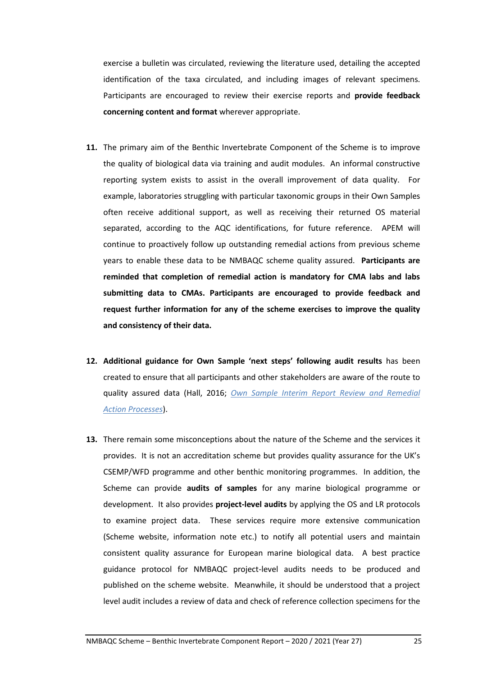exercise a bulletin was circulated, reviewing the literature used, detailing the accepted identification of the taxa circulated, and including images of relevant specimens. Participants are encouraged to review their exercise reports and **provide feedback concerning content and format** wherever appropriate.

- **11.** The primary aim of the Benthic Invertebrate Component of the Scheme is to improve the quality of biological data via training and audit modules. An informal constructive reporting system exists to assist in the overall improvement of data quality. For example, laboratories struggling with particular taxonomic groups in their Own Samples often receive additional support, as well as receiving their returned OS material separated, according to the AQC identifications, for future reference. APEM will continue to proactively follow up outstanding remedial actions from previous scheme years to enable these data to be NMBAQC scheme quality assured. **Participants are reminded that completion of remedial action is mandatory for CMA labs and labs submitting data to CMAs. Participants are encouraged to provide feedback and request further information for any of the scheme exercises to improve the quality and consistency of their data.**
- **12. Additional guidance for Own Sample 'next steps' following audit results** has been created to ensure that all participants and other stakeholders are aware of the route to quality assured data (Hall, 2016; *Own Sample Interim [Report Review and Remedial](http://www.nmbaqcs.org/media/1677/ownsample_ra_process_june16.pdf)  [Action Processes](http://www.nmbaqcs.org/media/1677/ownsample_ra_process_june16.pdf)*).
- **13.** There remain some misconceptions about the nature of the Scheme and the services it provides. It is not an accreditation scheme but provides quality assurance for the UK's CSEMP/WFD programme and other benthic monitoring programmes. In addition, the Scheme can provide **audits of samples** for any marine biological programme or development. It also provides **project-level audits** by applying the OS and LR protocols to examine project data. These services require more extensive communication (Scheme website, information note etc.) to notify all potential users and maintain consistent quality assurance for European marine biological data. A best practice guidance protocol for NMBAQC project-level audits needs to be produced and published on the scheme website. Meanwhile, it should be understood that a project level audit includes a review of data and check of reference collection specimens for the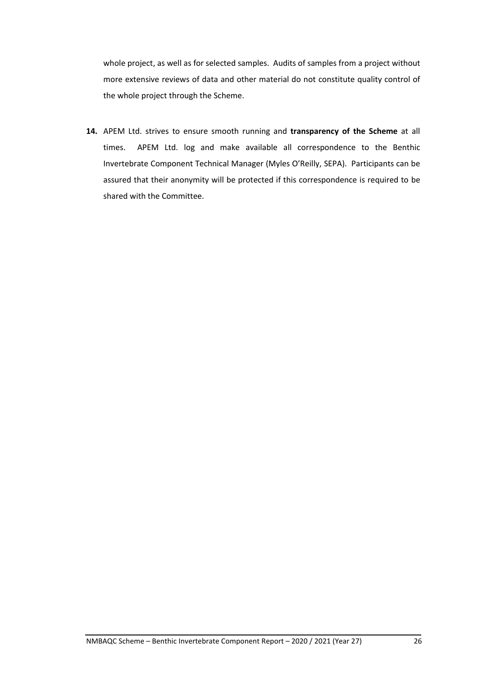whole project, as well as for selected samples. Audits of samples from a project without more extensive reviews of data and other material do not constitute quality control of the whole project through the Scheme.

**14.** APEM Ltd. strives to ensure smooth running and **transparency of the Scheme** at all times. APEM Ltd. log and make available all correspondence to the Benthic Invertebrate Component Technical Manager (Myles O'Reilly, SEPA). Participants can be assured that their anonymity will be protected if this correspondence is required to be shared with the Committee.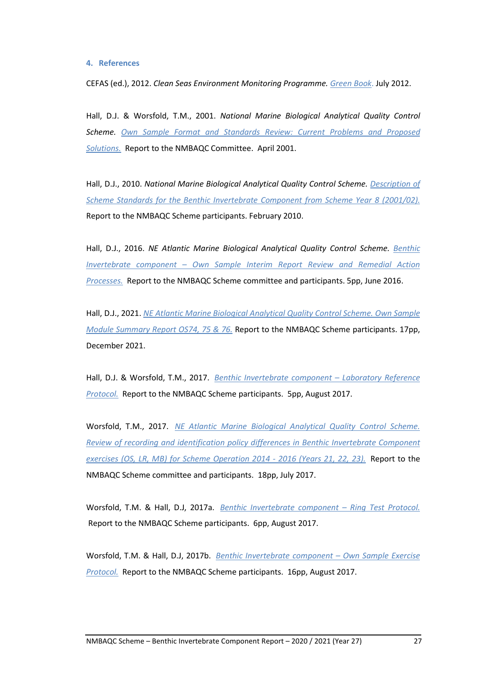#### **4. References**

CEFAS (ed.), 2012. *Clean Seas Environment Monitoring Programme. [Green Book](https://www.cefas.co.uk/publications/greenbook/greenbookv15.pdf)*. July 2012.

Hall, D.J. & Worsfold, T.M., 2001. *National Marine Biological Analytical Quality Control Scheme. [Own Sample Format and Standards Review: Current Problems and](http://www.nmbaqcs.org/media/1152/os_standardsreview_rpt.pdf) Proposed [Solutions.](http://www.nmbaqcs.org/media/1152/os_standardsreview_rpt.pdf)* Report to the NMBAQC Committee. April 2001.

Hall, D.J., 2010. *National Marine Biological Analytical Quality Control Scheme. [Description of](http://www.nmbaqcs.org/media/1169/inverts_stds_report-revised.pdf)  [Scheme Standards for the Benthic Invertebrate Component from Scheme Year](http://www.nmbaqcs.org/media/1169/inverts_stds_report-revised.pdf) 8 (2001/02).* Report to the NMBAQC Scheme participants. February 2010.

Hall, D.J., 2016. *NE Atlantic Marine Biological Analytical Quality Control Scheme. [Benthic](http://www.nmbaqcs.org/media/1677/ownsample_ra_process_june16.pdf)  Invertebrate component – [Own Sample Interim Report Review and Remedial Action](http://www.nmbaqcs.org/media/1677/ownsample_ra_process_june16.pdf)  [Processes.](http://www.nmbaqcs.org/media/1677/ownsample_ra_process_june16.pdf)* Report to the NMBAQC Scheme committee and participants. 5pp, June 2016.

Hall, D.J., 2021. *[NE Atlantic Marine Biological Analytical Quality Control Scheme. Own Sample](http://www.nmbaqcs.org/media/1862/os747576_os-summary-report_031221.pdf)  [Module Summary Report OS74, 75](http://www.nmbaqcs.org/media/1862/os747576_os-summary-report_031221.pdf) & 76.* Report to the NMBAQC Scheme participants. 17pp, December 2021.

Hall, D.J. & Worsfold, T.M., 2017. *[Benthic Invertebrate component](http://www.nmbaqcs.org/media/1713/lr_protocol_aug2017_v21.pdf) – Laboratory Reference [Protocol.](http://www.nmbaqcs.org/media/1713/lr_protocol_aug2017_v21.pdf)* Report to the NMBAQC Scheme participants. 5pp, August 2017.

Worsfold, T.M., 2017. *[NE Atlantic Marine Biological Analytical Quality Control Scheme.](http://www.nmbaqcs.org/media/1706/review-of-recording-identification-policy-differences.pdf)  [Review of recording and identification policy differences in Benthic Invertebrate Component](http://www.nmbaqcs.org/media/1706/review-of-recording-identification-policy-differences.pdf)  [exercises \(OS, LR, MB\) for Scheme Operation 2014 -](http://www.nmbaqcs.org/media/1706/review-of-recording-identification-policy-differences.pdf) 2016 (Years 21, 22, 23).* Report to the NMBAQC Scheme committee and participants. 18pp, July 2017.

Worsfold, T.M. & Hall, D.J, 2017a. *[Benthic Invertebrate component](http://www.nmbaqcs.org/media/1714/rt_protocol_aug2017_v21.pdf) – Ring Test Protocol.*  Report to the NMBAQC Scheme participants. 6pp, August 2017.

Worsfold, T.M. & Hall, D.J, 2017b. *[Benthic Invertebrate component](http://www.nmbaqcs.org/media/1715/os_protocol_aug2017_v21_final.pdf) – Own Sample Exercise [Protocol.](http://www.nmbaqcs.org/media/1715/os_protocol_aug2017_v21_final.pdf)* Report to the NMBAQC Scheme participants. 16pp, August 2017.